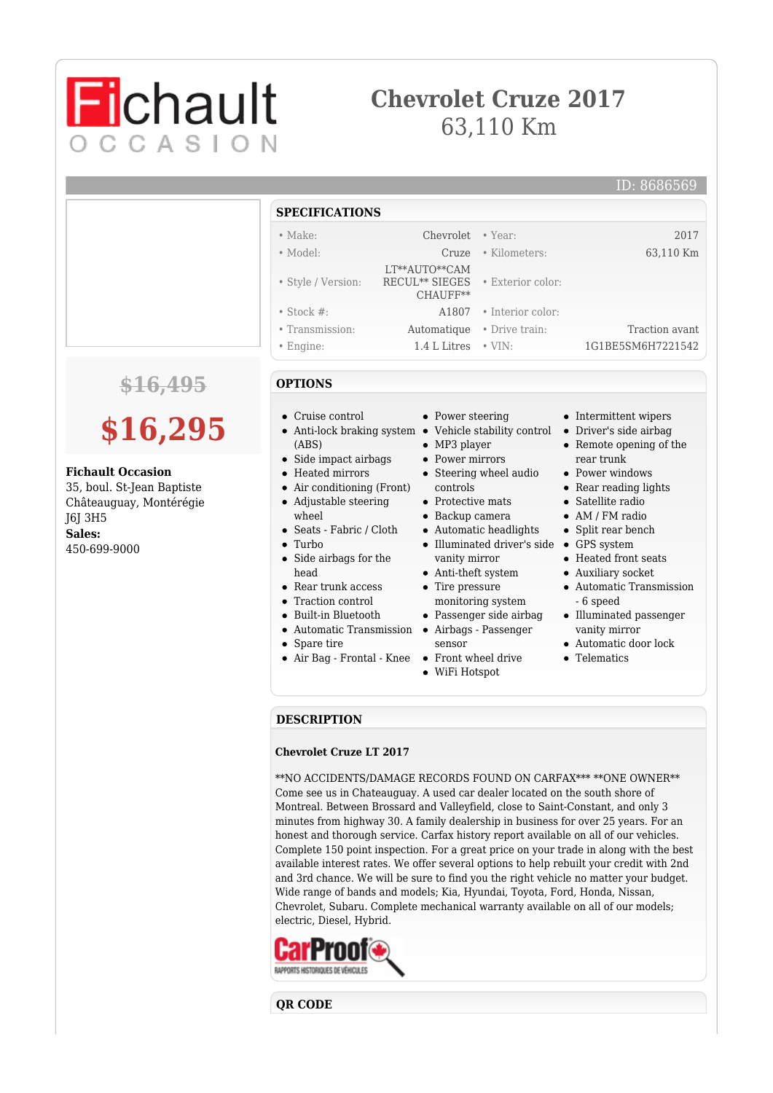## **Chevrolet Cruze 2017** 63,110 Km



### ID: 8686569

| SPECIFICATIONS     |                                                                           |                         |                   |
|--------------------|---------------------------------------------------------------------------|-------------------------|-------------------|
| $\bullet$ Make:    | Chevrolet • Year:                                                         |                         | 2017              |
| • Model:           | Cruze                                                                     | • Kilometers:           | 63,110 Km         |
| • Style / Version: | LT**AUTO**CAM<br>RECUL <sup>**</sup> SIEGES • Exterior color:<br>CHAUFF** |                         |                   |
| $\bullet$ Stock #: |                                                                           | A1807 • Interior color: |                   |
| • Transmission:    | Automatique                                                               | • Drive train:          | Traction avant    |
| $\bullet$ Engine:  | 1.4 L Litres                                                              | $\cdot$ VIN:            | 1G1BE5SM6H7221542 |

### **\$16,495**

# **\$16,295**

### **Fichault Occasion**

35, boul. St-Jean Baptiste Châteauguay, Montérégie J6J 3H5 **Sales:** 450-699-9000

- **OPTIONS**
- Cruise control

**SPECIFICATIONS**

- Anti-lock braking system Vehicle stability control (ABS)
	- Side impact airbags
- Heated mirrors
- Air conditioning (Front)  $\bullet$ Adjustable steering
- wheel
- Seats Fabric / Cloth
- Turbo
- Side airbags for the head
- Rear trunk access
- Traction control
- Built-in Bluetooth
- Automatic Transmission
- Spare tire
- Air Bag Frontal Knee Front wheel drive
- Power steering
- 
- MP3 player
- Power mirrors
- Steering wheel audio controls
- Protective mats
- Backup camera
- Automatic headlights
- Illuminated driver's side GPS system
- vanity mirror Anti-theft system
- Tire pressure
- monitoring system
- Passenger side airbag
- Airbags Passenger
- sensor
- 
- WiFi Hotspot
- Intermittent wipers Driver's side airbag
- Remote opening of the rear trunk
- Power windows
- Rear reading lights
- Satellite radio
- AM / FM radio
- Split rear bench
- 
- Heated front seats
- Auxiliary socket
- Automatic Transmission - 6 speed
- Illuminated passenger vanity mirror
- Automatic door lock
- **C**Telematics

### **DESCRIPTION**

#### **Chevrolet Cruze LT 2017**

\*\*NO ACCIDENTS/DAMAGE RECORDS FOUND ON CARFAX\*\*\* \*\*ONE OWNER\*\* Come see us in Chateauguay. A used car dealer located on the south shore of Montreal. Between Brossard and Valleyfield, close to Saint-Constant, and only 3 minutes from highway 30. A family dealership in business for over 25 years. For an honest and thorough service. Carfax history report available on all of our vehicles. Complete 150 point inspection. For a great price on your trade in along with the best available interest rates. We offer several options to help rebuilt your credit with 2nd and 3rd chance. We will be sure to find you the right vehicle no matter your budget. Wide range of bands and models; Kia, Hyundai, Toyota, Ford, Honda, Nissan, Chevrolet, Subaru. Complete mechanical warranty available on all of our models; electric, Diesel, Hybrid.



**QR CODE**